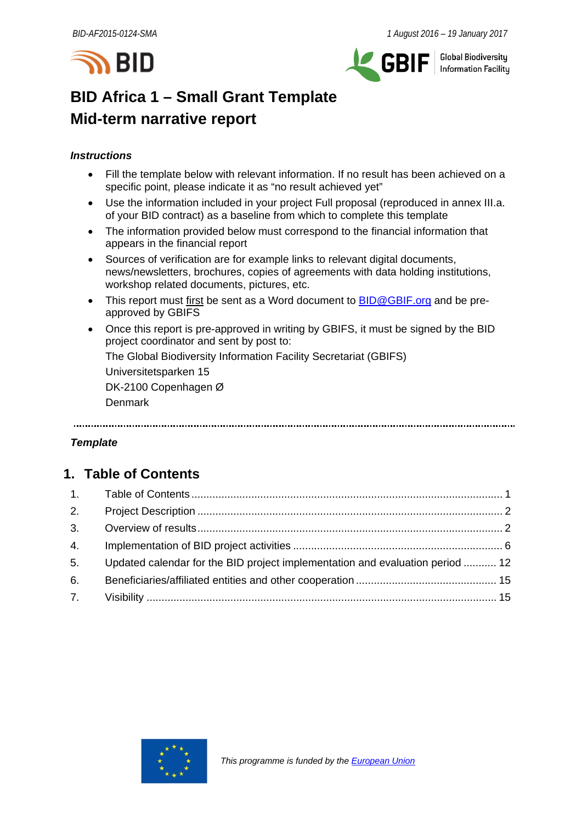



**Global Biodiversity** Information Facilitu

# **BID Africa 1 – Small Grant Template Mid-term narrative report**

# *Instructions*

- Fill the template below with relevant information. If no result has been achieved on a specific point, please indicate it as "no result achieved yet"
- Use the information included in your project Full proposal (reproduced in annex III.a. of your BID contract) as a baseline from which to complete this template
- The information provided below must correspond to the financial information that appears in the financial report
- Sources of verification are for example links to relevant digital documents, news/newsletters, brochures, copies of agreements with data holding institutions, workshop related documents, pictures, etc.
- This report must first be sent as a Word document to **BID@GBIF.org** and be preapproved by GBIFS
- Once this report is pre-approved in writing by GBIFS, it must be signed by the BID project coordinator and sent by post to: The Global Biodiversity Information Facility Secretariat (GBIFS) Universitetsparken 15

DK-2100 Copenhagen Ø Denmark

# *Template*

# <span id="page-0-0"></span>**1. Table of Contents**

| 2. |                                                                               |  |
|----|-------------------------------------------------------------------------------|--|
|    |                                                                               |  |
| 4. |                                                                               |  |
| 5. | Updated calendar for the BID project implementation and evaluation period  12 |  |
| 6. |                                                                               |  |
|    |                                                                               |  |

<span id="page-0-1"></span>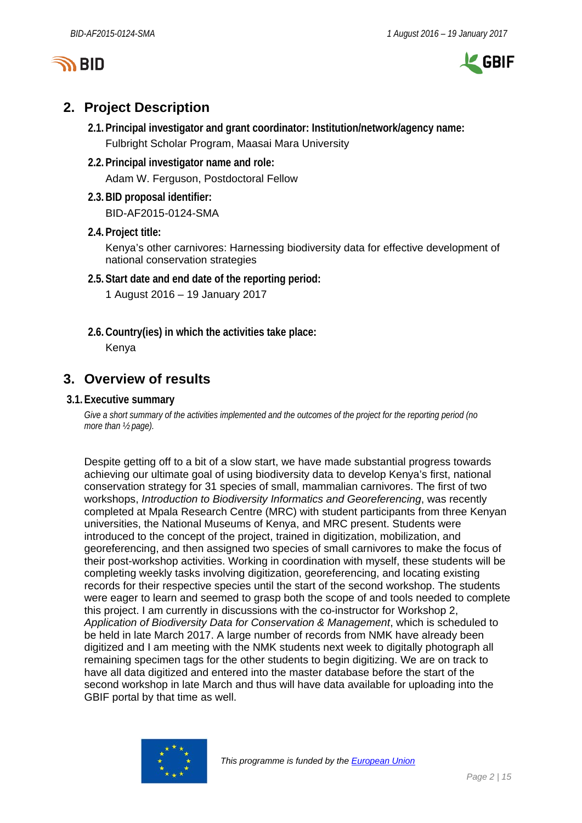



# **2. Project Description**

- **2.1.Principal investigator and grant coordinator: Institution/network/agency name:** Fulbright Scholar Program, Maasai Mara University
- **2.2.Principal investigator name and role:** Adam W. Ferguson, Postdoctoral Fellow
- **2.3.BID proposal identifier:** BID-AF2015-0124-SMA
- **2.4.Project title:**

Kenya's other carnivores: Harnessing biodiversity data for effective development of national conservation strategies

**2.5.Start date and end date of the reporting period:**

1 August 2016 – 19 January 2017

**2.6.Country(ies) in which the activities take place:** Kenya

# <span id="page-1-0"></span>**3. Overview of results**

# **3.1.Executive summary**

*Give a short summary of the activities implemented and the outcomes of the project for the reporting period (no more than ½ page).*

Despite getting off to a bit of a slow start, we have made substantial progress towards achieving our ultimate goal of using biodiversity data to develop Kenya's first, national conservation strategy for 31 species of small, mammalian carnivores. The first of two workshops, *Introduction to Biodiversity Informatics and Georeferencing*, was recently completed at Mpala Research Centre (MRC) with student participants from three Kenyan universities, the National Museums of Kenya, and MRC present. Students were introduced to the concept of the project, trained in digitization, mobilization, and georeferencing, and then assigned two species of small carnivores to make the focus of their post-workshop activities. Working in coordination with myself, these students will be completing weekly tasks involving digitization, georeferencing, and locating existing records for their respective species until the start of the second workshop. The students were eager to learn and seemed to grasp both the scope of and tools needed to complete this project. I am currently in discussions with the co-instructor for Workshop 2, *Application of Biodiversity Data for Conservation & Management*, which is scheduled to be held in late March 2017. A large number of records from NMK have already been digitized and I am meeting with the NMK students next week to digitally photograph all remaining specimen tags for the other students to begin digitizing. We are on track to have all data digitized and entered into the master database before the start of the second workshop in late March and thus will have data available for uploading into the GBIF portal by that time as well.

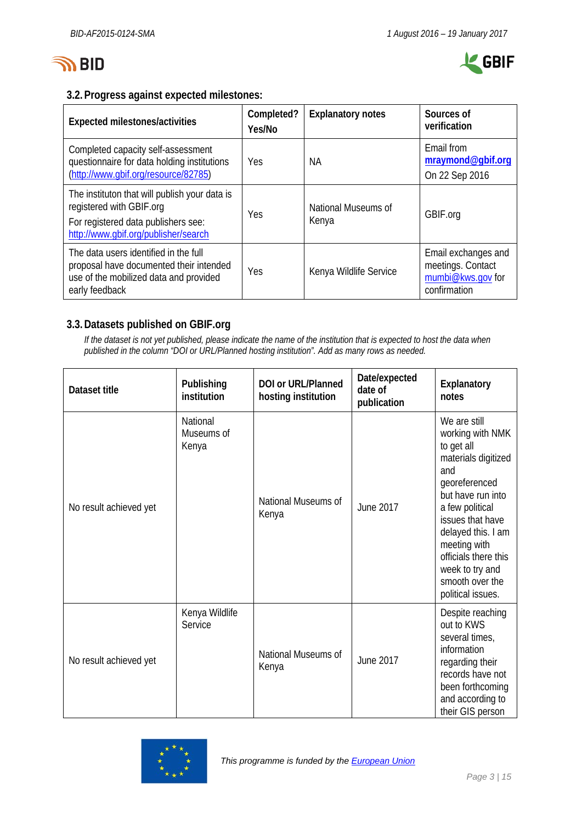



# **3.2.Progress against expected milestones:**

| Expected milestones/activities                                                                                                                           | Completed?<br>Yes/No | <b>Explanatory notes</b>     | Sources of<br>verification                                                    |  |  |  |  |  |
|----------------------------------------------------------------------------------------------------------------------------------------------------------|----------------------|------------------------------|-------------------------------------------------------------------------------|--|--|--|--|--|
| Completed capacity self-assessment<br>questionnaire for data holding institutions<br>(http://www.gbif.org/resource/82785)                                | Yes                  | NА                           | Email from<br>mraymond@gbif.org<br>On 22 Sep 2016                             |  |  |  |  |  |
| The instituton that will publish your data is<br>registered with GBIF.org<br>For registered data publishers see:<br>http://www.qbif.org/publisher/search | Yes                  | National Museums of<br>Kenya | GBIF.org                                                                      |  |  |  |  |  |
| The data users identified in the full<br>proposal have documented their intended<br>use of the mobilized data and provided<br>early feedback             | Yes                  | Kenya Wildlife Service       | Email exchanges and<br>meetings. Contact<br>mumbi@kws.gov for<br>confirmation |  |  |  |  |  |

# **3.3.Datasets published on GBIF.org**

*If the dataset is not yet published, please indicate the name of the institution that is expected to host the data when published in the column "DOI or URL/Planned hosting institution". Add as many rows as needed.*

| Dataset title          | Publishing<br>institution       | DOI or URL/Planned<br>hosting institution | Date/expected<br>date of<br>publication | Explanatory<br>notes                                                                                                                                                                                                                                                               |
|------------------------|---------------------------------|-------------------------------------------|-----------------------------------------|------------------------------------------------------------------------------------------------------------------------------------------------------------------------------------------------------------------------------------------------------------------------------------|
| No result achieved yet | National<br>Museums of<br>Kenya | National Museums of<br>Kenya              | June 2017                               | We are still<br>working with NMK<br>to get all<br>materials digitized<br>and<br>georeferenced<br>but have run into<br>a few political<br>issues that have<br>delayed this. I am<br>meeting with<br>officials there this<br>week to try and<br>smooth over the<br>political issues. |
| No result achieved yet | Kenya Wildlife<br>Service       | National Museums of<br>Kenya              | June 2017                               | Despite reaching<br>out to KWS<br>several times,<br>information<br>regarding their<br>records have not<br>been forthcoming<br>and according to<br>their GIS person                                                                                                                 |

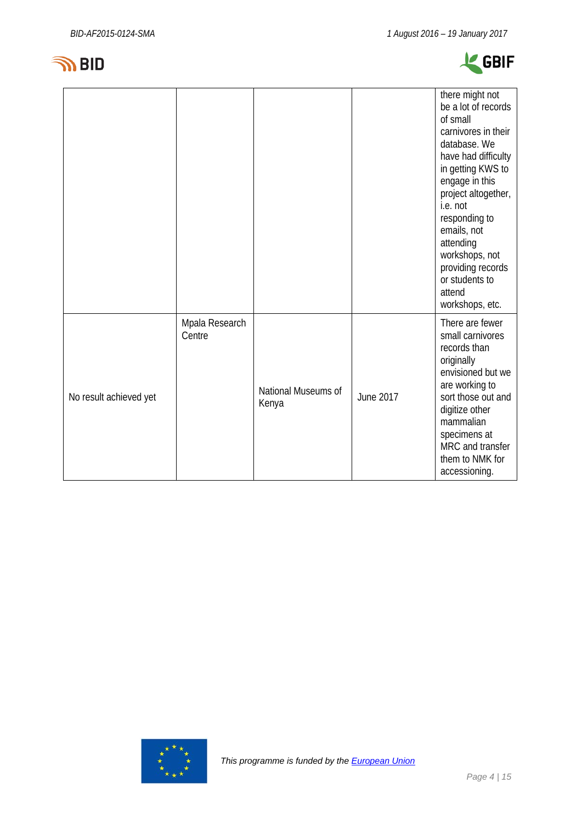



|                        |                          |                              |           | there might not<br>be a lot of records<br>of small<br>carnivores in their<br>database. We<br>have had difficulty<br>in getting KWS to<br>engage in this<br>project altogether,<br>i.e. not<br>responding to<br>emails, not<br>attending<br>workshops, not<br>providing records<br>or students to<br>attend<br>workshops, etc. |
|------------------------|--------------------------|------------------------------|-----------|-------------------------------------------------------------------------------------------------------------------------------------------------------------------------------------------------------------------------------------------------------------------------------------------------------------------------------|
| No result achieved yet | Mpala Research<br>Centre | National Museums of<br>Kenya | June 2017 | There are fewer<br>small carnivores<br>records than<br>originally<br>envisioned but we<br>are working to<br>sort those out and<br>digitize other<br>mammalian<br>specimens at<br>MRC and transfer<br>them to NMK for<br>accessioning.                                                                                         |

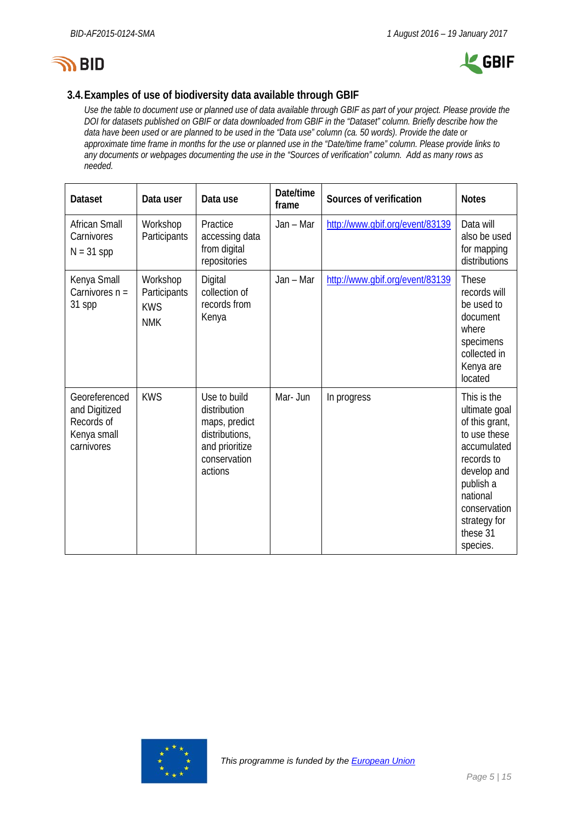



# **3.4.Examples of use of biodiversity data available through GBIF**

*Use the table to document use or planned use of data available through GBIF as part of your project. Please provide the DOI for datasets published on GBIF or data downloaded from GBIF in the "Dataset" column. Briefly describe how the data have been used or are planned to be used in the "Data use" column (ca. 50 words). Provide the date or approximate time frame in months for the use or planned use in the "Date/time frame" column. Please provide links to any documents or webpages documenting the use in the "Sources of verification" column. Add as many rows as needed.*

| <b>Dataset</b>                                                            | Data user                                            | Data use                                                                                                     | Date/time<br>frame | Sources of verification         | <b>Notes</b>                                                                                                                                                                                |
|---------------------------------------------------------------------------|------------------------------------------------------|--------------------------------------------------------------------------------------------------------------|--------------------|---------------------------------|---------------------------------------------------------------------------------------------------------------------------------------------------------------------------------------------|
| <b>African Small</b><br>Carnivores<br>$N = 31$ spp                        | Workshop<br>Participants                             | Practice<br>accessing data<br>from digital<br>repositories                                                   | Jan - Mar          | http://www.gbif.org/event/83139 | Data will<br>also be used<br>for mapping<br>distributions                                                                                                                                   |
| Kenya Small<br>Carnivores $n =$<br>31 spp                                 | Workshop<br>Participants<br><b>KWS</b><br><b>NMK</b> | Digital<br>collection of<br>records from<br>Kenya                                                            | Jan - Mar          | http://www.gbif.org/event/83139 | <b>These</b><br>records will<br>be used to<br>document<br>where<br>specimens<br>collected in<br>Kenya are<br>located                                                                        |
| Georeferenced<br>and Digitized<br>Records of<br>Kenya small<br>carnivores | <b>KWS</b>                                           | Use to build<br>distribution<br>maps, predict<br>distributions,<br>and prioritize<br>conservation<br>actions | Mar- Jun           | In progress                     | This is the<br>ultimate goal<br>of this grant,<br>to use these<br>accumulated<br>records to<br>develop and<br>publish a<br>national<br>conservation<br>strategy for<br>these 31<br>species. |

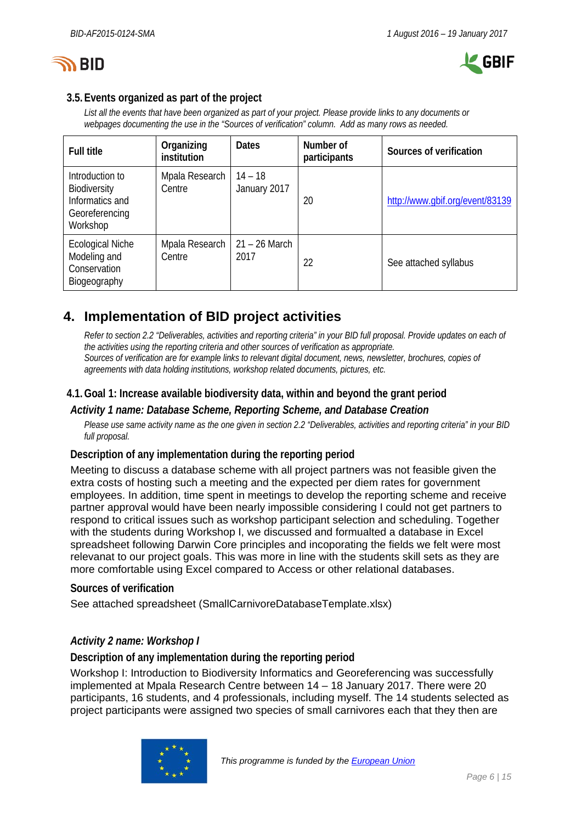



# **3.5.Events organized as part of the project**

*List all the events that have been organized as part of your project. Please provide links to any documents or webpages documenting the use in the "Sources of verification" column. Add as many rows as needed.*

| <b>Full title</b>                                                                | Organizing<br>institution | <b>Dates</b>              | Number of<br>participants | Sources of verification         |
|----------------------------------------------------------------------------------|---------------------------|---------------------------|---------------------------|---------------------------------|
| Introduction to<br>Biodiversity<br>Informatics and<br>Georeferencing<br>Workshop | Mpala Research<br>Centre  | $14 - 18$<br>January 2017 | 20                        | http://www.gbif.org/event/83139 |
| <b>Ecological Niche</b><br>Modeling and<br>Conservation<br>Biogeography          | Mpala Research<br>Centre  | $21 - 26$ March<br>2017   | 22                        | See attached syllabus           |

# <span id="page-5-0"></span>**4. Implementation of BID project activities**

*Refer to section 2.2 "Deliverables, activities and reporting criteria" in your BID full proposal. Provide updates on each of the activities using the reporting criteria and other sources of verification as appropriate. Sources of verification are for example links to relevant digital document, news, newsletter, brochures, copies of agreements with data holding institutions, workshop related documents, pictures, etc.*

# **4.1.Goal 1: Increase available biodiversity data, within and beyond the grant period**

## *Activity 1 name: Database Scheme, Reporting Scheme, and Database Creation*

*Please use same activity name as the one given in section 2.2 "Deliverables, activities and reporting criteria" in your BID full proposal.*

# **Description of any implementation during the reporting period**

Meeting to discuss a database scheme with all project partners was not feasible given the extra costs of hosting such a meeting and the expected per diem rates for government employees. In addition, time spent in meetings to develop the reporting scheme and receive partner approval would have been nearly impossible considering I could not get partners to respond to critical issues such as workshop participant selection and scheduling. Together with the students during Workshop I, we discussed and formualted a database in Excel spreadsheet following Darwin Core principles and incoporating the fields we felt were most relevanat to our project goals. This was more in line with the students skill sets as they are more comfortable using Excel compared to Access or other relational databases.

## **Sources of verification**

See attached spreadsheet (SmallCarnivoreDatabaseTemplate.xlsx)

# *Activity 2 name: Workshop I*

**Description of any implementation during the reporting period**

Workshop I: Introduction to Biodiversity Informatics and Georeferencing was successfully implemented at Mpala Research Centre between 14 – 18 January 2017. There were 20 participants, 16 students, and 4 professionals, including myself. The 14 students selected as project participants were assigned two species of small carnivores each that they then are

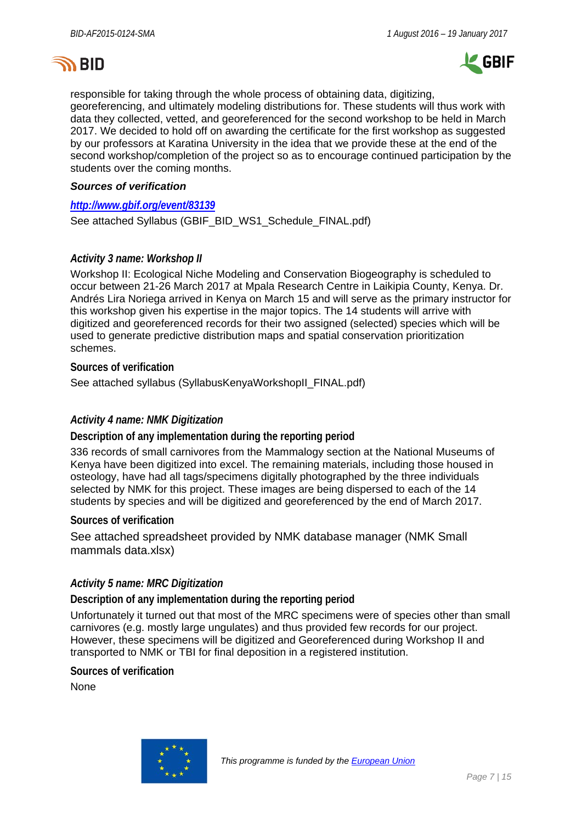



responsible for taking through the whole process of obtaining data, digitizing, georeferencing, and ultimately modeling distributions for. These students will thus work with data they collected, vetted, and georeferenced for the second workshop to be held in March 2017. We decided to hold off on awarding the certificate for the first workshop as suggested by our professors at Karatina University in the idea that we provide these at the end of the second workshop/completion of the project so as to encourage continued participation by the students over the coming months.

## *Sources of verification*

## *<http://www.gbif.org/event/83139>*

See attached Syllabus (GBIF\_BID\_WS1\_Schedule\_FINAL.pdf)

# *Activity 3 name: Workshop II*

Workshop II: Ecological Niche Modeling and Conservation Biogeography is scheduled to occur between 21-26 March 2017 at Mpala Research Centre in Laikipia County, Kenya. Dr. Andrés Lira Noriega arrived in Kenya on March 15 and will serve as the primary instructor for this workshop given his expertise in the major topics. The 14 students will arrive with digitized and georeferenced records for their two assigned (selected) species which will be used to generate predictive distribution maps and spatial conservation prioritization schemes.

**Sources of verification**

See attached syllabus (SyllabusKenyaWorkshopII\_FINAL.pdf)

# *Activity 4 name: NMK Digitization*

**Description of any implementation during the reporting period**

336 records of small carnivores from the Mammalogy section at the National Museums of Kenya have been digitized into excel. The remaining materials, including those housed in osteology, have had all tags/specimens digitally photographed by the three individuals selected by NMK for this project. These images are being dispersed to each of the 14 students by species and will be digitized and georeferenced by the end of March 2017.

## **Sources of verification**

See attached spreadsheet provided by NMK database manager (NMK Small mammals data.xlsx)

## *Activity 5 name: MRC Digitization*

**Description of any implementation during the reporting period**

Unfortunately it turned out that most of the MRC specimens were of species other than small carnivores (e.g. mostly large ungulates) and thus provided few records for our project. However, these specimens will be digitized and Georeferenced during Workshop II and transported to NMK or TBI for final deposition in a registered institution.

**Sources of verification**

None

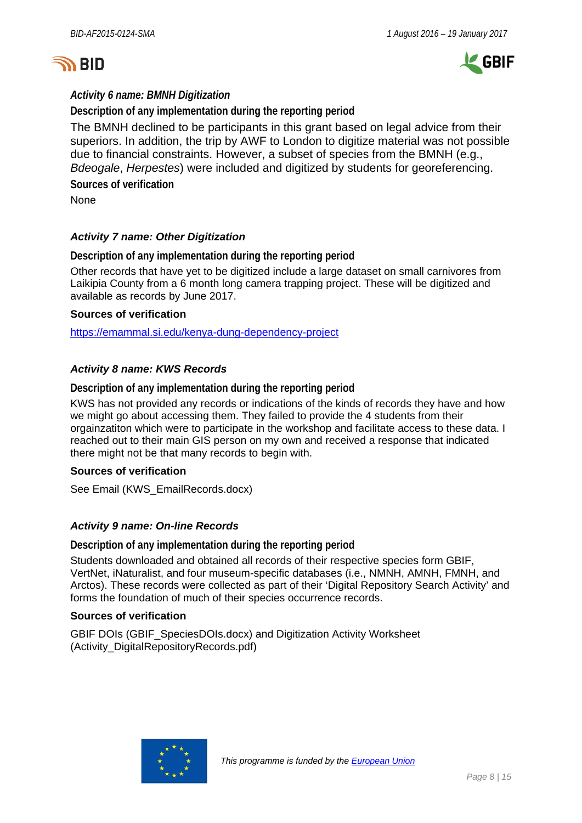



# *Activity 6 name: BMNH Digitization*

**Description of any implementation during the reporting period**

The BMNH declined to be participants in this grant based on legal advice from their superiors. In addition, the trip by AWF to London to digitize material was not possible due to financial constraints. However, a subset of species from the BMNH (e.g., *Bdeogale*, *Herpestes*) were included and digitized by students for georeferencing. **Sources of verification**

None

# *Activity 7 name: Other Digitization*

**Description of any implementation during the reporting period**

Other records that have yet to be digitized include a large dataset on small carnivores from Laikipia County from a 6 month long camera trapping project. These will be digitized and available as records by June 2017.

## **Sources of verification**

<https://emammal.si.edu/kenya-dung-dependency-project>

# *Activity 8 name: KWS Records*

**Description of any implementation during the reporting period**

KWS has not provided any records or indications of the kinds of records they have and how we might go about accessing them. They failed to provide the 4 students from their orgainzatiton which were to participate in the workshop and facilitate access to these data. I reached out to their main GIS person on my own and received a response that indicated there might not be that many records to begin with.

## **Sources of verification**

See Email (KWS\_EmailRecords.docx)

## *Activity 9 name: On-line Records*

**Description of any implementation during the reporting period**

Students downloaded and obtained all records of their respective species form GBIF, VertNet, iNaturalist, and four museum-specific databases (i.e., NMNH, AMNH, FMNH, and Arctos). These records were collected as part of their 'Digital Repository Search Activity' and forms the foundation of much of their species occurrence records.

## **Sources of verification**

GBIF DOIs (GBIF\_SpeciesDOIs.docx) and Digitization Activity Worksheet (Activity\_DigitalRepositoryRecords.pdf)

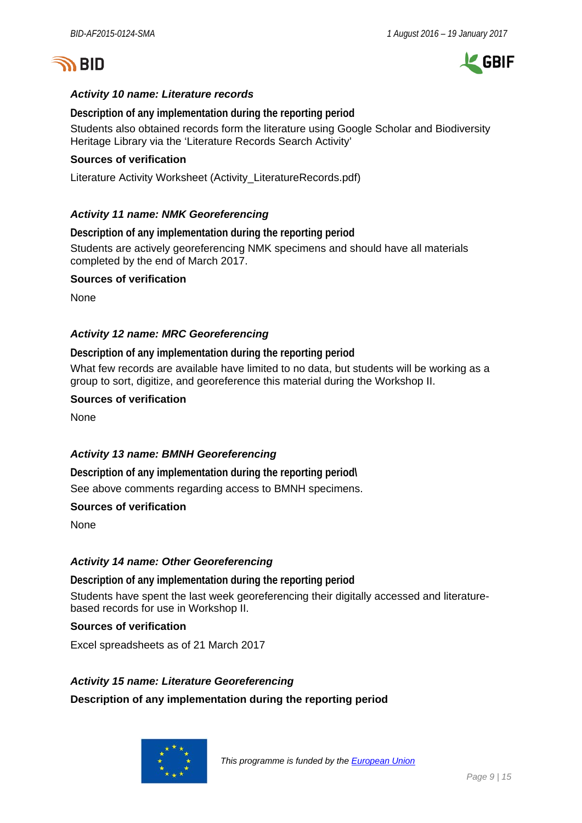



# *Activity 10 name: Literature records*

**Description of any implementation during the reporting period** Students also obtained records form the literature using Google Scholar and Biodiversity Heritage Library via the 'Literature Records Search Activity'

# **Sources of verification**

Literature Activity Worksheet (Activity\_LiteratureRecords.pdf)

# *Activity 11 name: NMK Georeferencing*

**Description of any implementation during the reporting period** Students are actively georeferencing NMK specimens and should have all materials completed by the end of March 2017.

## **Sources of verification**

None

# *Activity 12 name: MRC Georeferencing*

**Description of any implementation during the reporting period** What few records are available have limited to no data, but students will be working as a group to sort, digitize, and georeference this material during the Workshop II.

## **Sources of verification**

None

# *Activity 13 name: BMNH Georeferencing*

**Description of any implementation during the reporting period\** See above comments regarding access to BMNH specimens.

## **Sources of verification**

None

## *Activity 14 name: Other Georeferencing*

**Description of any implementation during the reporting period** Students have spent the last week georeferencing their digitally accessed and literaturebased records for use in Workshop II.

# **Sources of verification**

Excel spreadsheets as of 21 March 2017

## *Activity 15 name: Literature Georeferencing*

**Description of any implementation during the reporting period**

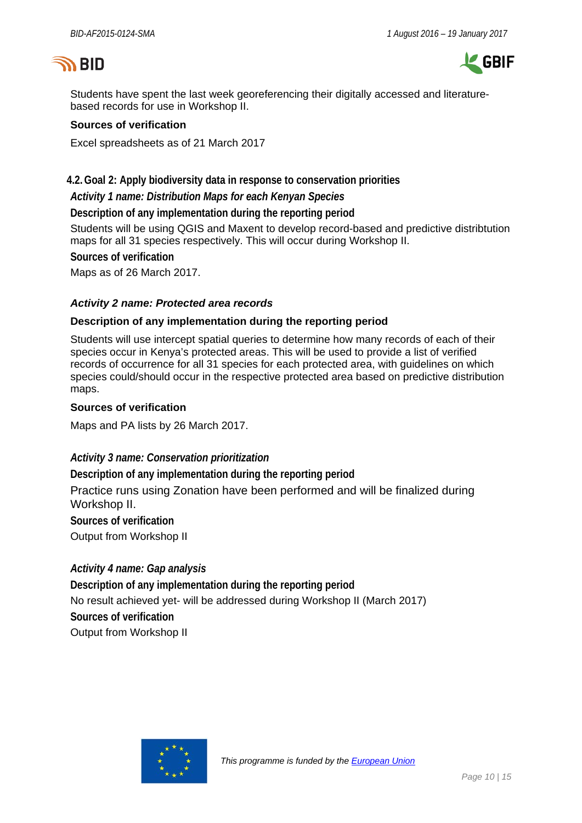# **SID**



Students have spent the last week georeferencing their digitally accessed and literaturebased records for use in Workshop II.

## **Sources of verification**

Excel spreadsheets as of 21 March 2017

# **4.2.Goal 2: Apply biodiversity data in response to conservation priorities**

*Activity 1 name: Distribution Maps for each Kenyan Species* 

**Description of any implementation during the reporting period**

Students will be using QGIS and Maxent to develop record-based and predictive distribtution maps for all 31 species respectively. This will occur during Workshop II.

**Sources of verification**

Maps as of 26 March 2017.

# *Activity 2 name: Protected area records*

## **Description of any implementation during the reporting period**

Students will use intercept spatial queries to determine how many records of each of their species occur in Kenya's protected areas. This will be used to provide a list of verified records of occurrence for all 31 species for each protected area, with guidelines on which species could/should occur in the respective protected area based on predictive distribution maps.

## **Sources of verification**

Maps and PA lists by 26 March 2017.

## *Activity 3 name: Conservation prioritization*

**Description of any implementation during the reporting period** Practice runs using Zonation have been performed and will be finalized during Workshop II. **Sources of verification**

Output from Workshop II

## *Activity 4 name: Gap analysis*

**Description of any implementation during the reporting period** No result achieved yet- will be addressed during Workshop II (March 2017) **Sources of verification** Output from Workshop II

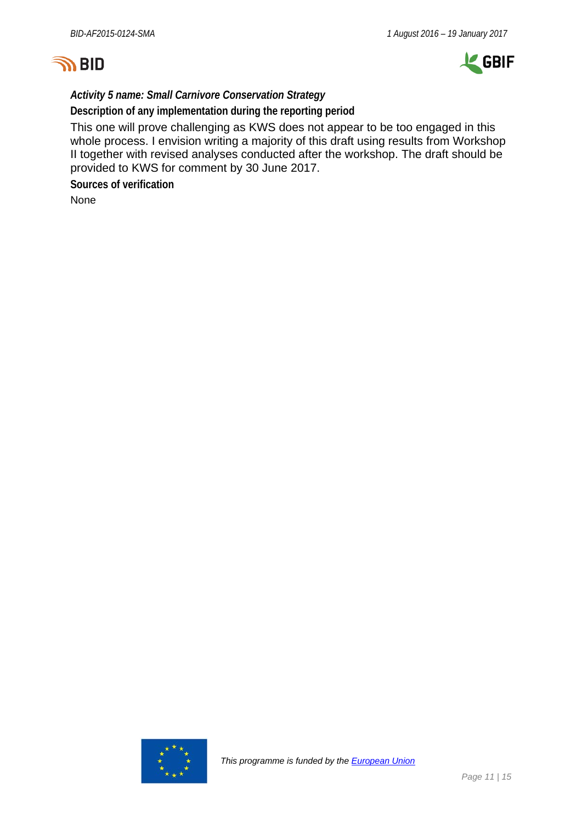



*Activity 5 name: Small Carnivore Conservation Strategy* 

**Description of any implementation during the reporting period**

This one will prove challenging as KWS does not appear to be too engaged in this whole process. I envision writing a majority of this draft using results from Workshop II together with revised analyses conducted after the workshop. The draft should be provided to KWS for comment by 30 June 2017.

**Sources of verification**

None

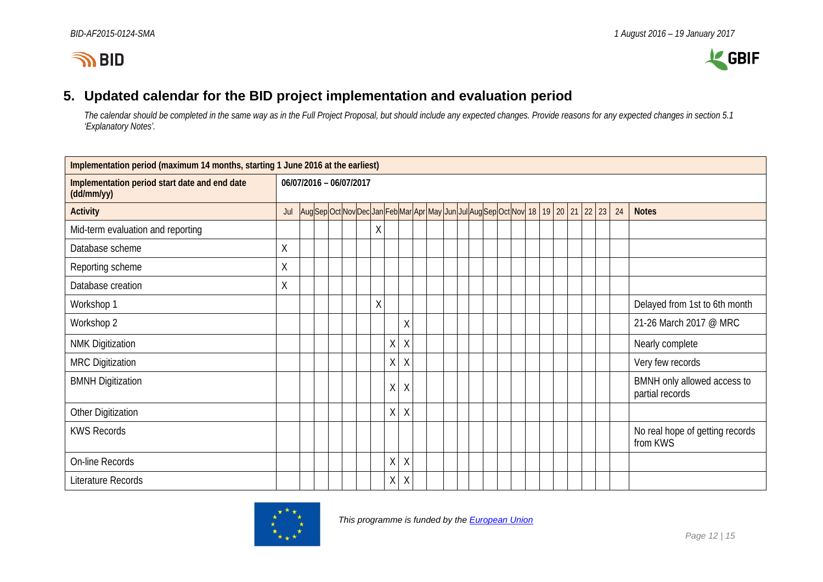



# **5. Updated calendar for the BID project implementation and evaluation period**

*The calendar should be completed in the same way as in the Full Project Proposal, but should include any expected changes. Provide reasons for any expected changes in section 5.1 'Explanatory Notes'.*

<span id="page-11-0"></span>

| Implementation period (maximum 14 months, starting 1 June 2016 at the earliest) |                         |  |  |  |                                                                                         |         |          |  |  |  |  |  |  |  |  |    |    |                                                |
|---------------------------------------------------------------------------------|-------------------------|--|--|--|-----------------------------------------------------------------------------------------|---------|----------|--|--|--|--|--|--|--|--|----|----|------------------------------------------------|
| Implementation period start date and end date<br>(dd/mm/yy)                     | 06/07/2016 - 06/07/2017 |  |  |  |                                                                                         |         |          |  |  |  |  |  |  |  |  |    |    |                                                |
| <b>Activity</b>                                                                 | Jul                     |  |  |  | Aug Sep Oct Nov Dec Jan Feb Mar Apr May Jun Jul Aug Sep Oct Nov  18   19   20   21   22 |         |          |  |  |  |  |  |  |  |  | 23 | 24 | <b>Notes</b>                                   |
| Mid-term evaluation and reporting                                               |                         |  |  |  |                                                                                         | Χ       |          |  |  |  |  |  |  |  |  |    |    |                                                |
| Database scheme                                                                 | Χ                       |  |  |  |                                                                                         |         |          |  |  |  |  |  |  |  |  |    |    |                                                |
| Reporting scheme                                                                | Χ                       |  |  |  |                                                                                         |         |          |  |  |  |  |  |  |  |  |    |    |                                                |
| Database creation                                                               | Χ                       |  |  |  |                                                                                         |         |          |  |  |  |  |  |  |  |  |    |    |                                                |
| Workshop 1                                                                      |                         |  |  |  |                                                                                         | $\sf X$ |          |  |  |  |  |  |  |  |  |    |    | Delayed from 1st to 6th month                  |
| Workshop 2                                                                      |                         |  |  |  |                                                                                         |         | X        |  |  |  |  |  |  |  |  |    |    | 21-26 March 2017 @ MRC                         |
| <b>NMK Digitization</b>                                                         |                         |  |  |  |                                                                                         | $\chi$  | $\chi$   |  |  |  |  |  |  |  |  |    |    | Nearly complete                                |
| <b>MRC Digitization</b>                                                         |                         |  |  |  |                                                                                         | $\sf X$ | $\chi$   |  |  |  |  |  |  |  |  |    |    | Very few records                               |
| <b>BMNH Digitization</b>                                                        |                         |  |  |  |                                                                                         | Χ       | Χ        |  |  |  |  |  |  |  |  |    |    | BMNH only allowed access to<br>partial records |
| Other Digitization                                                              |                         |  |  |  |                                                                                         | Χ       | $\chi$   |  |  |  |  |  |  |  |  |    |    |                                                |
| <b>KWS Records</b>                                                              |                         |  |  |  |                                                                                         |         |          |  |  |  |  |  |  |  |  |    |    | No real hope of getting records<br>from KWS    |
| On-line Records                                                                 |                         |  |  |  |                                                                                         | $\sf X$ | $\sf X$  |  |  |  |  |  |  |  |  |    |    |                                                |
| Literature Records                                                              |                         |  |  |  |                                                                                         | $\sf X$ | $\times$ |  |  |  |  |  |  |  |  |    |    |                                                |

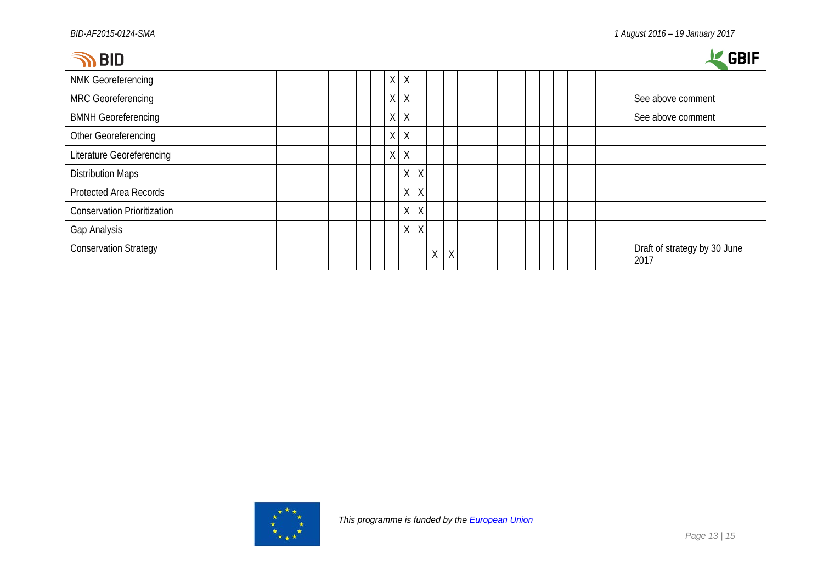| BID |
|-----|
|-----|



| .                                  |  |  |   |                   |              |         |   |   |  |  |  |  |  | ----                                 |
|------------------------------------|--|--|---|-------------------|--------------|---------|---|---|--|--|--|--|--|--------------------------------------|
| <b>NMK Georeferencing</b>          |  |  |   | $X$ $X$           |              |         |   |   |  |  |  |  |  |                                      |
| <b>MRC Georeferencing</b>          |  |  |   | $X$ $X$           |              |         |   |   |  |  |  |  |  | See above comment                    |
| <b>BMNH Georeferencing</b>         |  |  |   | $\mathsf{X}$<br>X |              |         |   |   |  |  |  |  |  | See above comment                    |
| Other Georeferencing               |  |  | X | $\times$          |              |         |   |   |  |  |  |  |  |                                      |
| <b>Literature Georeferencing</b>   |  |  |   | $X$ $X$           |              |         |   |   |  |  |  |  |  |                                      |
| <b>Distribution Maps</b>           |  |  |   |                   | $\mathsf{X}$ | $\sf X$ |   |   |  |  |  |  |  |                                      |
| <b>Protected Area Records</b>      |  |  |   |                   | $\mathsf X$  | $\sf X$ |   |   |  |  |  |  |  |                                      |
| <b>Conservation Prioritization</b> |  |  |   |                   | Χ            | χ       |   |   |  |  |  |  |  |                                      |
| Gap Analysis                       |  |  |   |                   | $\mathsf{X}$ | $\sf X$ |   |   |  |  |  |  |  |                                      |
| <b>Conservation Strategy</b>       |  |  |   |                   |              |         | Χ | X |  |  |  |  |  | Draft of strategy by 30 June<br>2017 |

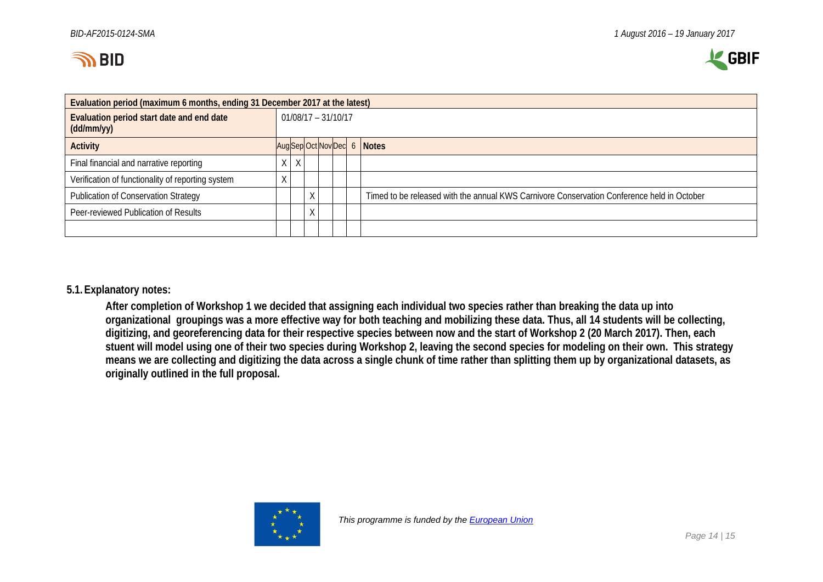



| Evaluation period (maximum 6 months, ending 31 December 2017 at the latest) |                       |  |   |  |  |  |                                                                                            |  |  |  |  |  |
|-----------------------------------------------------------------------------|-----------------------|--|---|--|--|--|--------------------------------------------------------------------------------------------|--|--|--|--|--|
| Evaluation period start date and end date<br>(dd/mm/yy)                     | $01/08/17 - 31/10/17$ |  |   |  |  |  |                                                                                            |  |  |  |  |  |
| <b>Activity</b>                                                             |                       |  |   |  |  |  | Aug Sep Oct Nov Dec 6 Notes                                                                |  |  |  |  |  |
| Final financial and narrative reporting                                     | χ                     |  |   |  |  |  |                                                                                            |  |  |  |  |  |
| Verification of functionality of reporting system                           |                       |  |   |  |  |  |                                                                                            |  |  |  |  |  |
| Publication of Conservation Strategy                                        |                       |  |   |  |  |  | Timed to be released with the annual KWS Carnivore Conservation Conference held in October |  |  |  |  |  |
| Peer-reviewed Publication of Results                                        |                       |  | Χ |  |  |  |                                                                                            |  |  |  |  |  |
|                                                                             |                       |  |   |  |  |  |                                                                                            |  |  |  |  |  |

## **5.1.Explanatory notes:**

**After completion of Workshop 1 we decided that assigning each individual two species rather than breaking the data up into organizational groupings was a more effective way for both teaching and mobilizing these data. Thus, all 14 students will be collecting, digitizing, and georeferencing data for their respective species between now and the start of Workshop 2 (20 March 2017). Then, each stuent will model using one of their two species during Workshop 2, leaving the second species for modeling on their own. This strategy means we are collecting and digitizing the data across a single chunk of time rather than splitting them up by organizational datasets, as originally outlined in the full proposal.**